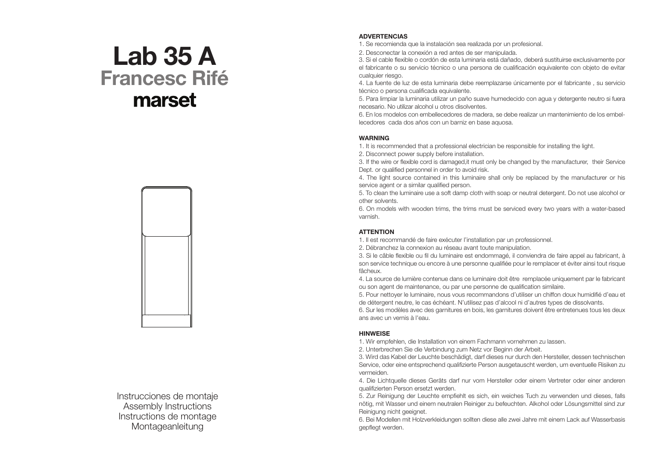# Lab 35 A Francesc Rifé marset



Instrucciones de montaje Assembly Instructions Instructions de montage Montageanleitung

## **ADVERTENCIAS**

1. Se recomienda que la instalación sea realizada por un profesional.

2. Desconectar la conexión a red antes de ser manipulada.

3. Si el cable flexible o cordón de esta luminaria está dañado, deberá sustituirse exclusivamente por el fabricante o su servicio técnico o una persona de cualificación equivalente con objeto de evitar cualquier riesgo.

4. La fuente de luz de esta luminaria debe reemplazarse únicamente por el fabricante , su servicio técnico o persona cualificada equivalente.

5. Para limpiar la luminaria utilizar un paño suave humedecido con agua y detergente neutro si fuera necesario. No utilizar alcohol u otros disolventes.

6. En los modelos con embellecedores de madera, se debe realizar un mantenimiento de los embellecedores cada dos años con un barniz en base aquosa.

### **WARNING**

1. It is recommended that a professional electrician be responsible for installing the light.

2. Disconnect power supply before installation.

3. If the wire or flexible cord is damaged,it must only be changed by the manufacturer, their Service Dept. or qualified personnel in order to avoid risk.

4. The light source contained in this luminaire shall only be replaced by the manufacturer or his service agent or a similar qualified person.

5. To clean the luminaire use a soft damp cloth with soap or neutral detergent. Do not use alcohol or other solvents.

6. On models with wooden trims, the trims must be serviced every two years with a water-based varnish.

#### **ATTENTION**

1. Il est recommandé de faire exécuter l'installation par un professionnel.

2. Débranchez la connexion au réseau avant toute manipulation.

3. Si le câble flexible ou fil du luminaire est endommagé, il conviendra de faire appel au fabricant, à son service technique ou encore à une personne qualifiée pour le remplacer et éviter ainsi tout risque fâcheux.

4. La source de lumière contenue dans ce luminaire doit être remplacée uniquement par le fabricant ou son agent de maintenance, ou par une personne de qualification similaire.

5. Pour nettoyer le luminaire, nous vous recommandons d'utiliser un chiffon doux humidifié d'eau et de détergent neutre, le cas échéant. N'utilisez pas d'alcool ni d'autres types de dissolvants.

6. Sur les modèles avec des garnitures en bois, les garnitures doivent être entretenues tous les deux ans avec un vernis à l'eau.

#### HINWEISE

1. Wir empfehlen, die Installation von einem Fachmann vornehmen zu lassen.

2. Unterbrechen Sie die Verbindung zum Netz vor Beginn der Arbeit.

3. Wird das Kabel der Leuchte beschädigt, darf dieses nur durch den Hersteller, dessen technischen Service, oder eine entsprechend qualifizierte Person ausgetauscht werden, um eventuelle Risiken zu vermeiden.

4. Die Lichtquelle dieses Geräts darf nur vom Hersteller oder einem Vertreter oder einer anderen qualifizierten Person ersetzt werden.

5. Zur Reinigung der Leuchte empfiehlt es sich, ein weiches Tuch zu verwenden und dieses, falls nötig, mit Wasser und einem neutralen Reiniger zu befeuchten. Alkohol oder Lösungsmittel sind zur Reinigung nicht geeignet.

6. Bei Modellen mit Holzverkleidungen sollten diese alle zwei Jahre mit einem Lack auf Wasserbasis gepflegt werden.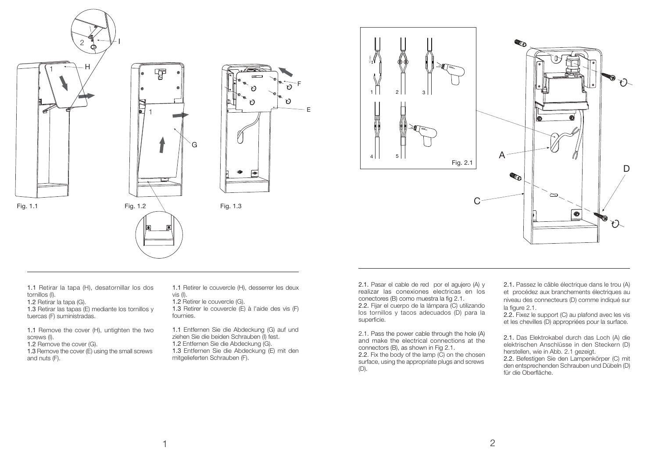

I





E



1.1 Retirar la tapa (H), desatornillar los dos tornillos (I).

1.2 Retirar la tapa (G).

1.3 Retirar las tapas (E) mediante los tornillos y tuercas (F) suministradas.

1.1 Remove the cover (H), untighten the two screws (I).

1.2 Remove the cover (G).

1.3 Remove the cover (E) using the small screws and nuts (F).

1.1 Retirer le couvercle (H), desserrer les deux vis (I).

1.2 Retirer le couvercle (G). 1.3 Retirer le couvercle (E) à l'aide des vis (F) fournies.

1.1 Entfernen Sie die Abdeckung (G) auf und ziehen Sie die beiden Schrauben (I) fest. 1.2 Entfernen Sie die Abdeckung (G). 1.3 Entfernen Sie die Abdeckung (E) mit den mitgelieferten Schrauben (F).

2.1. Pasar el cable de red por el agujero (A) y realizar las conexiones electricas en los conectores (B) como muestra la fig 2.1. 2.2. Fijar el cuerpo de la lámpara (C) utilizando los tornillos y tacos adecuados (D) para la superficie.

2.1. Pass the power cable through the hole (A) and make the electrical connections at the connectors (B), as shown in Fig 2.1. 2.2. Fix the body of the lamp (C) on the chosen surface, using the appropriate plugs and screws (D).

2.1. Passez le câble électrique dans le trou (A) et procédez aux branchements électriques au niveau des connecteurs (D) comme indiqué sur la figure 2.1.

2.2. Fixez le support (C) au plafond avec les vis et les chevilles (D) appropriées pour la surface.

2.1. Das Elektrokabel durch das Loch (A) die elektrischen Anschlüsse in den Steckern (D) herstellen, wie in Abb. 2.1 gezeigt.

2.2. Befestigen Sie den Lampenkörper (C) mit den entsprechenden Schrauben und Dübeln (D) für die Oberfläche.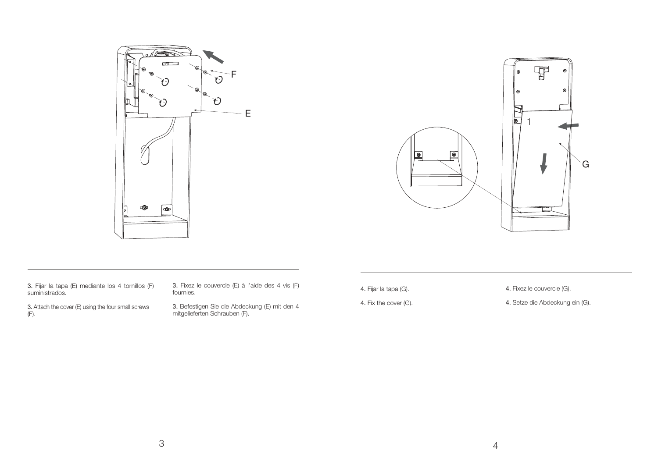



3. Fijar la tapa (E) mediante los 4 tornillos (F) suministrados.

3. Attach the cover (E) using the four small screws  $(F)$ .

3. Fixez le couvercle (E) à l'aide des 4 vis (F) fournies.

3. Befestigen Sie die Abdeckung (E) mit den 4 mitgelieferten Schrauben (F).

4. Fijar la tapa (G).

4. Fixez le couvercle (G).

4. Fix the cover (G).

4. Setze die Abdeckung ein (G).